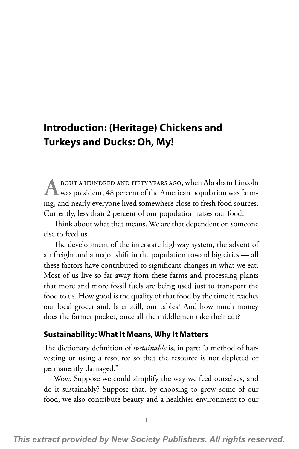# **Introduction: (Heritage) Chickens and Turkeys and Ducks: Oh, My!**

**A**BOUT A HUNDRED AND FIFTY YEARS AGO, when Abraham Lincoln was president, 48 percent of the American population was farming, and nearly everyone lived somewhere close to fresh food sources. Currently, less than 2 percent of our population raises our food.

Think about what that means. We are that dependent on someone else to feed us.

The development of the interstate highway system, the advent of air freight and a major shift in the population toward big cities — all these factors have contributed to significant changes in what we eat. Most of us live so far away from these farms and processing plants that more and more fossil fuels are being used just to transport the food to us. How good is the quality of that food by the time it reaches our local grocer and, later still, our tables? And how much money does the farmer pocket, once all the middlemen take their cut?

## **Sustainability: What It Means, Why It Matters**

The dictionary definition of *sustainable* is, in part: "a method of harvesting or using a resource so that the resource is not depleted or permanently damaged."

Wow. Suppose we could simplify the way we feed ourselves, and do it sustainably? Suppose that, by choosing to grow some of our food, we also contribute beauty and a healthier environment to our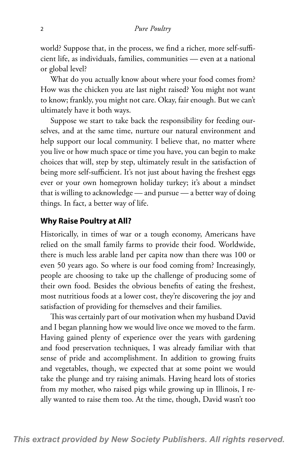world? Suppose that, in the process, we find a richer, more self-sufficient life, as individuals, families, communities — even at a national or global level?

What do you actually know about where your food comes from? How was the chicken you ate last night raised? You might not want to know; frankly, you might not care. Okay, fair enough. But we can't ultimately have it both ways.

Suppose we start to take back the responsibility for feeding ourselves, and at the same time, nurture our natural environment and help support our local community. I believe that, no matter where you live or how much space or time you have, you can begin to make choices that will, step by step, ultimately result in the satisfaction of being more self-sufficient. It's not just about having the freshest eggs ever or your own homegrown holiday turkey; it's about a mindset that is willing to acknowledge — and pursue — a better way of doing things. In fact, a better way of life.

### **Why Raise Poultry at All?**

Historically, in times of war or a tough economy, Americans have relied on the small family farms to provide their food. Worldwide, there is much less arable land per capita now than there was 100 or even 50 years ago. So where is our food coming from? Increasingly, people are choosing to take up the challenge of producing some of their own food. Besides the obvious benefits of eating the freshest, most nutritious foods at a lower cost, they're discovering the joy and satisfaction of providing for themselves and their families.

This was certainly part of our motivation when my husband David and I began planning how we would live once we moved to the farm. Having gained plenty of experience over the years with gardening and food preservation techniques, I was already familiar with that sense of pride and accomplishment. In addition to growing fruits and vegetables, though, we expected that at some point we would take the plunge and try raising animals. Having heard lots of stories from my mother, who raised pigs while growing up in Illinois, I really wanted to raise them too. At the time, though, David wasn't too

*This extract provided by New Society Publishers. All rights reserved.*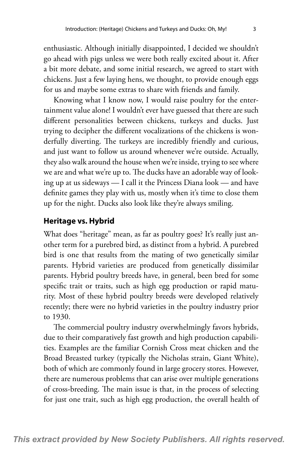enthusiastic. Although initially disappointed, I decided we shouldn't go ahead with pigs unless we were both really excited about it. After a bit more debate, and some initial research, we agreed to start with chickens. Just a few laying hens, we thought, to provide enough eggs for us and maybe some extras to share with friends and family.

Knowing what I know now, I would raise poultry for the entertainment value alone! I wouldn't ever have guessed that there are such different personalities between chickens, turkeys and ducks. Just trying to decipher the different vocalizations of the chickens is wonderfully diverting. The turkeys are incredibly friendly and curious, and just want to follow us around whenever we're outside. Actually, they also walk around the house when we're inside, trying to see where we are and what we're up to. The ducks have an adorable way of looking up at us sideways — I call it the Princess Diana look — and have definite games they play with us, mostly when it's time to close them up for the night. Ducks also look like they're always smiling.

## **Heritage vs. Hybrid**

What does "heritage" mean, as far as poultry goes? It's really just another term for a purebred bird, as distinct from a hybrid. A purebred bird is one that results from the mating of two genetically similar parents. Hybrid varieties are produced from genetically dissimilar parents. Hybrid poultry breeds have, in general, been bred for some specific trait or traits, such as high egg production or rapid maturity. Most of these hybrid poultry breeds were developed relatively recently; there were no hybrid varieties in the poultry industry prior to 1930.

The commercial poultry industry overwhelmingly favors hybrids, due to their comparatively fast growth and high production capabilities. Examples are the familiar Cornish Cross meat chicken and the Broad Breasted turkey (typically the Nicholas strain, Giant White), both of which are commonly found in large grocery stores. However, there are numerous problems that can arise over multiple generations of cross-breeding. The main issue is that, in the process of selecting for just one trait, such as high egg production, the overall health of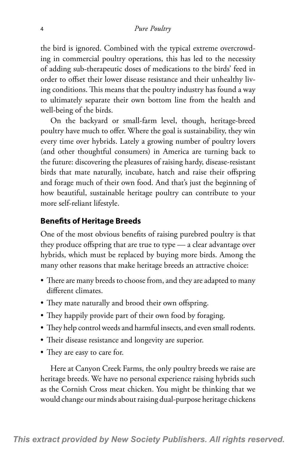the bird is ignored. Combined with the typical extreme overcrowding in commercial poultry operations, this has led to the necessity of adding sub-therapeutic doses of medications to the birds' feed in order to offset their lower disease resistance and their unhealthy living conditions. This means that the poultry industry has found a way to ultimately separate their own bottom line from the health and well-being of the birds.

On the backyard or small-farm level, though, heritage-breed poultry have much to offer. Where the goal is sustainability, they win every time over hybrids. Lately a growing number of poultry lovers (and other thoughtful consumers) in America are turning back to the future: discovering the pleasures of raising hardy, disease-resistant birds that mate naturally, incubate, hatch and raise their offspring and forage much of their own food. And that's just the beginning of how beautiful, sustainable heritage poultry can contribute to your more self-reliant lifestyle.

#### **Benefits of Heritage Breeds**

One of the most obvious benefits of raising purebred poultry is that they produce offspring that are true to type — a clear advantage over hybrids, which must be replaced by buying more birds. Among the many other reasons that make heritage breeds an attractive choice:

- There are many breeds to choose from, and they are adapted to many different climates.
- They mate naturally and brood their own offspring.
- They happily provide part of their own food by foraging.
- They help control weeds and harmful insects, and even small rodents.
- Their disease resistance and longevity are superior.
- They are easy to care for.

Here at Canyon Creek Farms, the only poultry breeds we raise are heritage breeds. We have no personal experience raising hybrids such as the Cornish Cross meat chicken. You might be thinking that we would change our minds about raising dual-purpose heritage chickens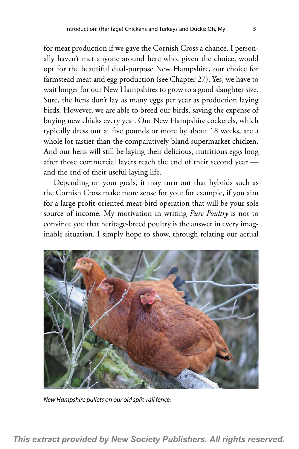for meat production if we gave the Cornish Cross a chance. I personally haven't met anyone around here who, given the choice, would opt for the beautiful dual-purpose New Hampshire, our choice for farmstead meat and egg production (see Chapter 27). Yes, we have to wait longer for our New Hampshires to grow to a good slaughter size. Sure, the hens don't lay as many eggs per year as production laying birds. However, we are able to breed our birds, saving the expense of buying new chicks every year. Our New Hampshire cockerels, which typically dress out at five pounds or more by about 18 weeks, are a whole lot tastier than the comparatively bland supermarket chicken. And our hens will still be laying their delicious, nutritious eggs long after those commercial layers reach the end of their second year and the end of their useful laying life.

Depending on your goals, it may turn out that hybrids such as the Cornish Cross make more sense for you: for example, if you aim for a large profit-oriented meat-bird operation that will be your sole source of income. My motivation in writing *Pure Poultry* is not to convince you that heritage-breed poultry is the answer in every imaginable situation. I simply hope to show, through relating our actual



*New Hampshire pullets on our old split-rail fence.*